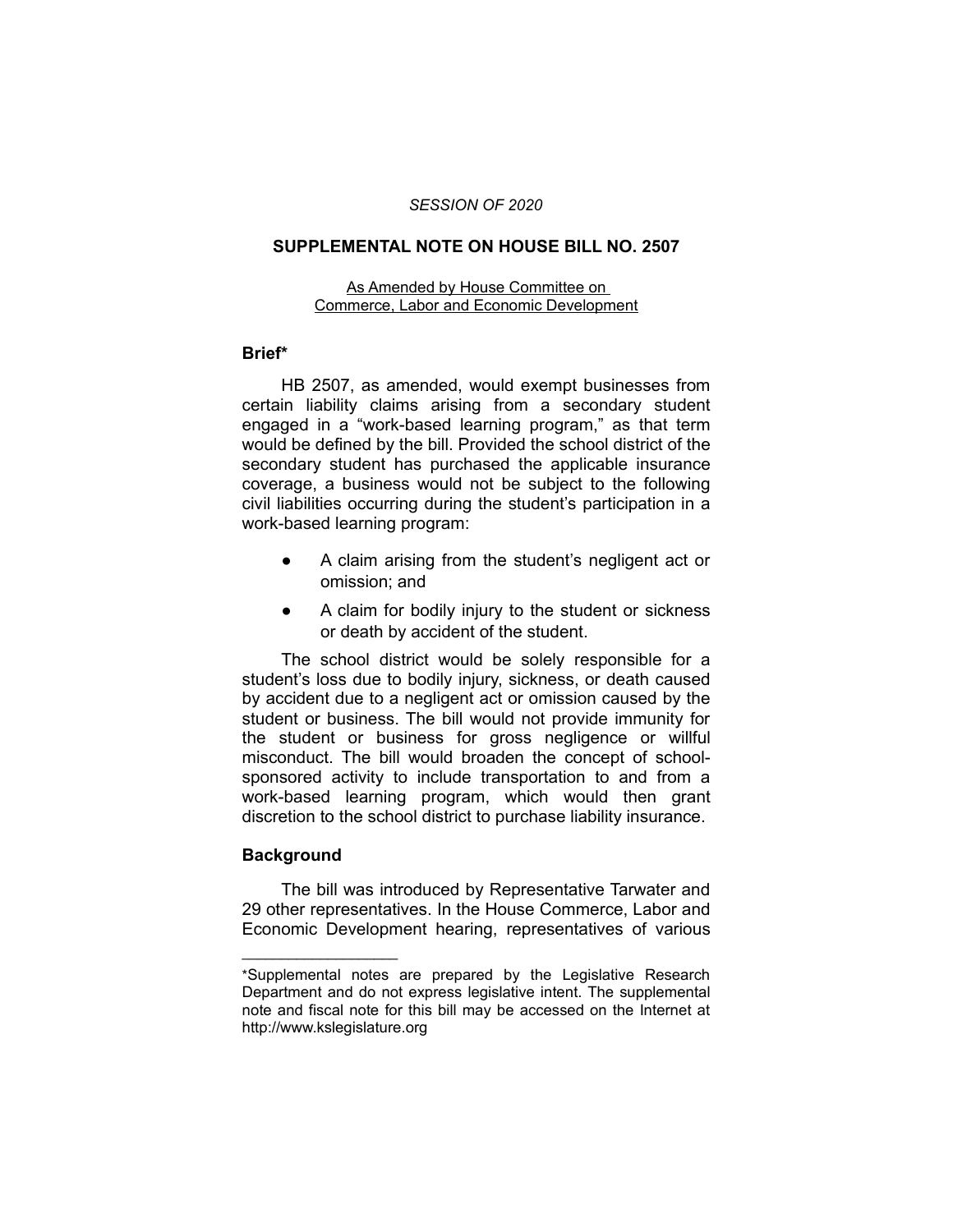### *SESSION OF 2020*

### **SUPPLEMENTAL NOTE ON HOUSE BILL NO. 2507**

#### As Amended by House Committee on Commerce, Labor and Economic Development

# **Brief\***

HB 2507, as amended, would exempt businesses from certain liability claims arising from a secondary student engaged in a "work-based learning program," as that term would be defined by the bill. Provided the school district of the secondary student has purchased the applicable insurance coverage, a business would not be subject to the following civil liabilities occurring during the student's participation in a work-based learning program:

- A claim arising from the student's negligent act or omission; and
- A claim for bodily injury to the student or sickness or death by accident of the student.

The school district would be solely responsible for a student's loss due to bodily injury, sickness, or death caused by accident due to a negligent act or omission caused by the student or business. The bill would not provide immunity for the student or business for gross negligence or willful misconduct. The bill would broaden the concept of schoolsponsored activity to include transportation to and from a work-based learning program, which would then grant discretion to the school district to purchase liability insurance.

# **Background**

 $\overline{\phantom{a}}$  , where  $\overline{\phantom{a}}$  , where  $\overline{\phantom{a}}$ 

The bill was introduced by Representative Tarwater and 29 other representatives. In the House Commerce, Labor and Economic Development hearing, representatives of various

<sup>\*</sup>Supplemental notes are prepared by the Legislative Research Department and do not express legislative intent. The supplemental note and fiscal note for this bill may be accessed on the Internet at http://www.kslegislature.org